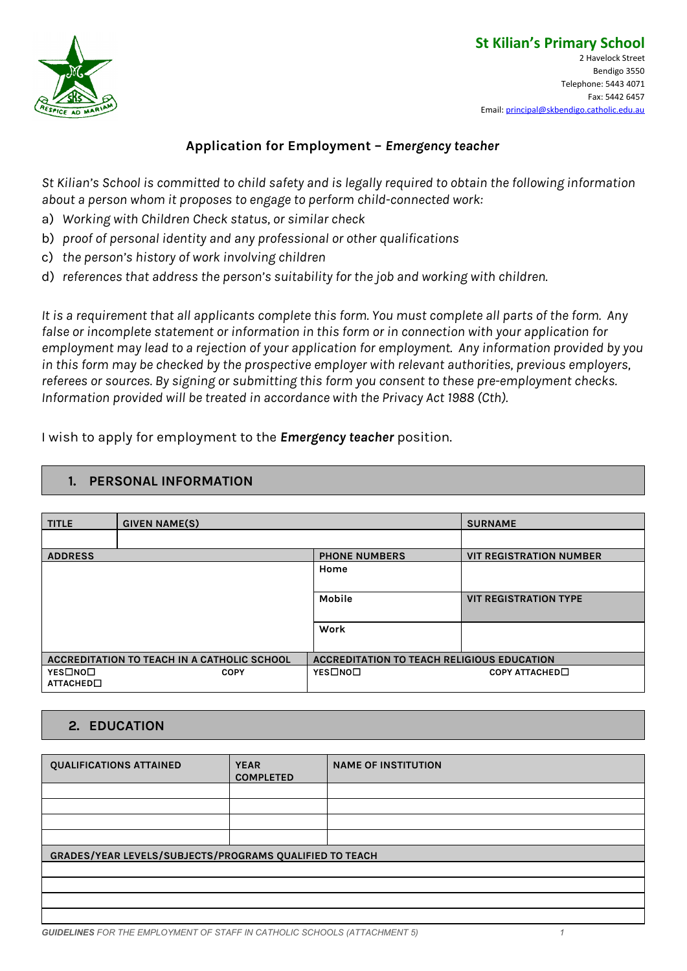

# **Application for Employment –** *Emergency teacher*

St Kilian's School is committed to child safety and is legally required to obtain the following information *about a person whom it proposes to engage to perform child-connected work:*

- a) *Working with Children Check status, or similar check*
- b) *proof of personal identity and any professional or other qualifications*
- c) *the person's history of work involving children*
- d) *references that address the person's suitability for the job and working with children.*

It is a requirement that all applicants complete this form. You must complete all parts of the form. Any *false or incomplete statement or information in this form or in connection with your application for employment may lead to a rejection of your application for employment. Any information provided by you in this form may be checked by the prospective employer with relevant authorities, previous employers, referees or sources. By signing or submitting this form you consent to these pre-employment checks. Information provided will be treated in accordance with the Privacy Act 1988 (Cth).*

I wish to apply for employment to the *Emergency teacher* position.

#### **1. PERSONAL INFORMATION**

| <b>TITLE</b>                                | <b>GIVEN NAME(S)</b> |                                                   | <b>SURNAME</b>                 |
|---------------------------------------------|----------------------|---------------------------------------------------|--------------------------------|
|                                             |                      |                                                   |                                |
| <b>ADDRESS</b>                              |                      | <b>PHONE NUMBERS</b>                              | <b>VIT REGISTRATION NUMBER</b> |
|                                             |                      | Home                                              |                                |
|                                             |                      | <b>Mobile</b>                                     | <b>VIT REGISTRATION TYPE</b>   |
|                                             |                      | Work                                              |                                |
| ACCREDITATION TO TEACH IN A CATHOLIC SCHOOL |                      | <b>ACCREDITATION TO TEACH RELIGIOUS EDUCATION</b> |                                |
| YES□NO□<br>ATTACHED <sup>[]</sup>           | <b>COPY</b>          | YES□NO□                                           | COPY ATTACHED <sup>[]</sup>    |

#### **2. EDUCATION**

| <b>QUALIFICATIONS ATTAINED</b>                          | <b>YEAR</b><br><b>COMPLETED</b> | <b>NAME OF INSTITUTION</b> |  |
|---------------------------------------------------------|---------------------------------|----------------------------|--|
|                                                         |                                 |                            |  |
|                                                         |                                 |                            |  |
|                                                         |                                 |                            |  |
|                                                         |                                 |                            |  |
| GRADES/YEAR LEVELS/SUBJECTS/PROGRAMS QUALIFIED TO TEACH |                                 |                            |  |
|                                                         |                                 |                            |  |
|                                                         |                                 |                            |  |
|                                                         |                                 |                            |  |
|                                                         |                                 |                            |  |

*GUIDELINES FOR THE EMPLOYMENT OF STAFF IN CATHOLIC SCHOOLS (ATTACHMENT 5) 1*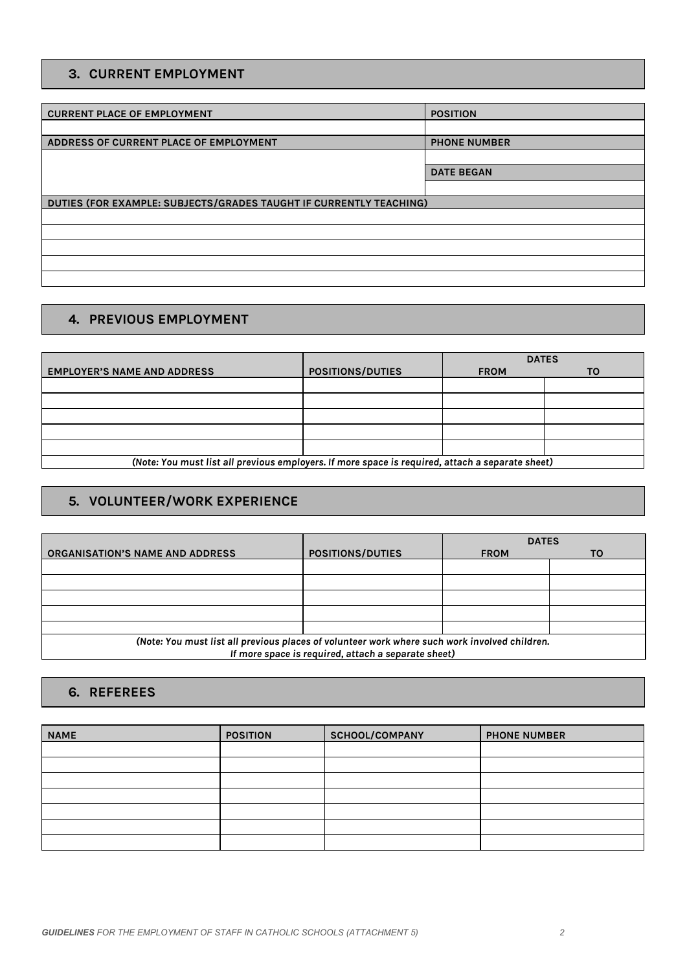### **3. CURRENT EMPLOYMENT**

| <b>POSITION</b>                                                    |
|--------------------------------------------------------------------|
|                                                                    |
| <b>PHONE NUMBER</b>                                                |
|                                                                    |
| <b>DATE BEGAN</b>                                                  |
|                                                                    |
| DUTIES (FOR EXAMPLE: SUBJECTS/GRADES TAUGHT IF CURRENTLY TEACHING) |
|                                                                    |
|                                                                    |
|                                                                    |
|                                                                    |
|                                                                    |
|                                                                    |

#### **4. PREVIOUS EMPLOYMENT**

|                                                                                                  |                         | <b>DATES</b> |    |
|--------------------------------------------------------------------------------------------------|-------------------------|--------------|----|
| <b>EMPLOYER'S NAME AND ADDRESS</b>                                                               | <b>POSITIONS/DUTIES</b> | <b>FROM</b>  | то |
|                                                                                                  |                         |              |    |
|                                                                                                  |                         |              |    |
|                                                                                                  |                         |              |    |
|                                                                                                  |                         |              |    |
|                                                                                                  |                         |              |    |
| (Note: You must list all previous employers. If more space is required, attach a separate sheet) |                         |              |    |

# **5. VOLUNTEER/WORK EXPERIENCE**

|                                                                                               |                         | <b>DATES</b> |           |
|-----------------------------------------------------------------------------------------------|-------------------------|--------------|-----------|
| <b>ORGANISATION'S NAME AND ADDRESS</b>                                                        | <b>POSITIONS/DUTIES</b> | <b>FROM</b>  | <b>TO</b> |
|                                                                                               |                         |              |           |
|                                                                                               |                         |              |           |
|                                                                                               |                         |              |           |
|                                                                                               |                         |              |           |
|                                                                                               |                         |              |           |
| (Note: You must list all previous places of volunteer work where such work involved children. |                         |              |           |
| If more space is required, attach a separate sheet)                                           |                         |              |           |

#### **6. REFEREES**

| <b>NAME</b> | <b>POSITION</b> | SCHOOL/COMPANY | <b>PHONE NUMBER</b> |
|-------------|-----------------|----------------|---------------------|
|             |                 |                |                     |
|             |                 |                |                     |
|             |                 |                |                     |
|             |                 |                |                     |
|             |                 |                |                     |
|             |                 |                |                     |
|             |                 |                |                     |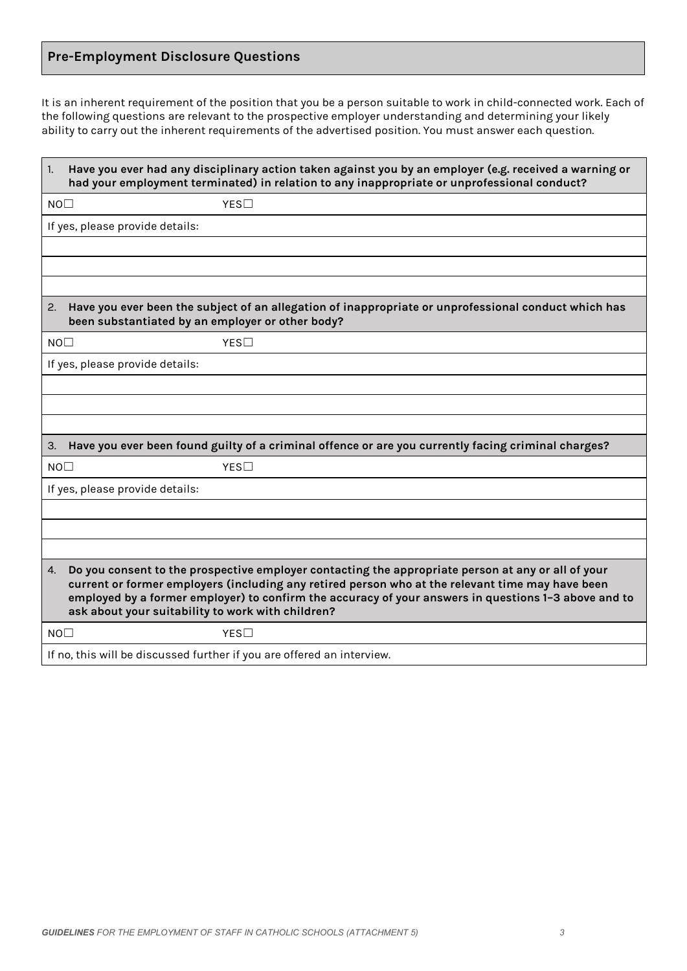## **Pre-Employment Disclosure Questions**

It is an inherent requirement of the position that you be a person suitable to work in child-connected work. Each of the following questions are relevant to the prospective employer understanding and determining your likely ability to carry out the inherent requirements of the advertised position. You must answer each question.

| $\vert$ 1.                                                                                                                                                                                                                                                                                                                                                                | Have you ever had any disciplinary action taken against you by an employer (e.g. received a warning or<br>had your employment terminated) in relation to any inappropriate or unprofessional conduct? |  |
|---------------------------------------------------------------------------------------------------------------------------------------------------------------------------------------------------------------------------------------------------------------------------------------------------------------------------------------------------------------------------|-------------------------------------------------------------------------------------------------------------------------------------------------------------------------------------------------------|--|
| NO <sub>1</sub>                                                                                                                                                                                                                                                                                                                                                           | YES                                                                                                                                                                                                   |  |
|                                                                                                                                                                                                                                                                                                                                                                           | If yes, please provide details:                                                                                                                                                                       |  |
|                                                                                                                                                                                                                                                                                                                                                                           |                                                                                                                                                                                                       |  |
|                                                                                                                                                                                                                                                                                                                                                                           |                                                                                                                                                                                                       |  |
|                                                                                                                                                                                                                                                                                                                                                                           |                                                                                                                                                                                                       |  |
| 2.                                                                                                                                                                                                                                                                                                                                                                        | Have you ever been the subject of an allegation of inappropriate or unprofessional conduct which has<br>been substantiated by an employer or other body?                                              |  |
| NO <sub>1</sub>                                                                                                                                                                                                                                                                                                                                                           | YES                                                                                                                                                                                                   |  |
|                                                                                                                                                                                                                                                                                                                                                                           | If yes, please provide details:                                                                                                                                                                       |  |
|                                                                                                                                                                                                                                                                                                                                                                           |                                                                                                                                                                                                       |  |
|                                                                                                                                                                                                                                                                                                                                                                           |                                                                                                                                                                                                       |  |
|                                                                                                                                                                                                                                                                                                                                                                           |                                                                                                                                                                                                       |  |
| 3.                                                                                                                                                                                                                                                                                                                                                                        | Have you ever been found guilty of a criminal offence or are you currently facing criminal charges?                                                                                                   |  |
| NO <sub>1</sub>                                                                                                                                                                                                                                                                                                                                                           | YES                                                                                                                                                                                                   |  |
|                                                                                                                                                                                                                                                                                                                                                                           | If yes, please provide details:                                                                                                                                                                       |  |
|                                                                                                                                                                                                                                                                                                                                                                           |                                                                                                                                                                                                       |  |
|                                                                                                                                                                                                                                                                                                                                                                           |                                                                                                                                                                                                       |  |
|                                                                                                                                                                                                                                                                                                                                                                           |                                                                                                                                                                                                       |  |
| Do you consent to the prospective employer contacting the appropriate person at any or all of your<br>4.<br>current or former employers (including any retired person who at the relevant time may have been<br>employed by a former employer) to confirm the accuracy of your answers in questions 1-3 above and to<br>ask about your suitability to work with children? |                                                                                                                                                                                                       |  |
| NO <sub>1</sub>                                                                                                                                                                                                                                                                                                                                                           | YES                                                                                                                                                                                                   |  |
|                                                                                                                                                                                                                                                                                                                                                                           | If no, this will be discussed further if you are offered an interview.                                                                                                                                |  |